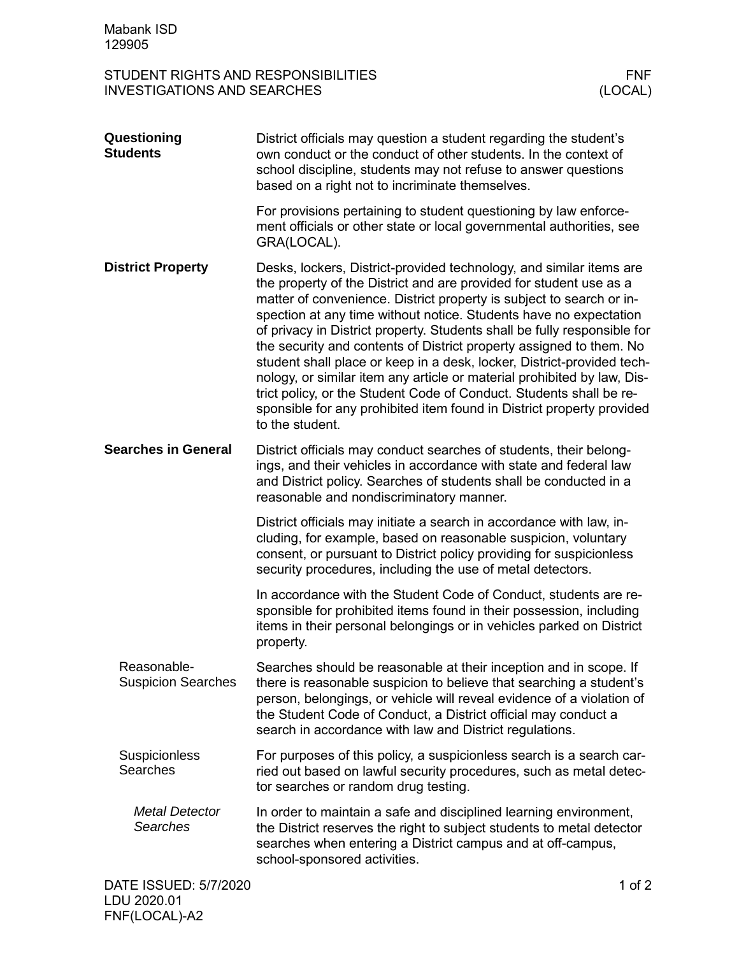STUDENT RIGHTS AND RESPONSIBILITIES FNF<br>INVESTIGATIONS AND SEARCHES (LOCAL) INVESTIGATIONS AND SEARCHES

| Questioning<br><b>Students</b>           | District officials may question a student regarding the student's<br>own conduct or the conduct of other students. In the context of<br>school discipline, students may not refuse to answer questions<br>based on a right not to incriminate themselves.                                                                                                                                                                                                                                                                                                                                                                                                                                                                                                         |          |
|------------------------------------------|-------------------------------------------------------------------------------------------------------------------------------------------------------------------------------------------------------------------------------------------------------------------------------------------------------------------------------------------------------------------------------------------------------------------------------------------------------------------------------------------------------------------------------------------------------------------------------------------------------------------------------------------------------------------------------------------------------------------------------------------------------------------|----------|
|                                          | For provisions pertaining to student questioning by law enforce-<br>ment officials or other state or local governmental authorities, see<br>GRA(LOCAL).                                                                                                                                                                                                                                                                                                                                                                                                                                                                                                                                                                                                           |          |
| <b>District Property</b>                 | Desks, lockers, District-provided technology, and similar items are<br>the property of the District and are provided for student use as a<br>matter of convenience. District property is subject to search or in-<br>spection at any time without notice. Students have no expectation<br>of privacy in District property. Students shall be fully responsible for<br>the security and contents of District property assigned to them. No<br>student shall place or keep in a desk, locker, District-provided tech-<br>nology, or similar item any article or material prohibited by law, Dis-<br>trict policy, or the Student Code of Conduct. Students shall be re-<br>sponsible for any prohibited item found in District property provided<br>to the student. |          |
| <b>Searches in General</b>               | District officials may conduct searches of students, their belong-<br>ings, and their vehicles in accordance with state and federal law<br>and District policy. Searches of students shall be conducted in a<br>reasonable and nondiscriminatory manner.                                                                                                                                                                                                                                                                                                                                                                                                                                                                                                          |          |
|                                          | District officials may initiate a search in accordance with law, in-<br>cluding, for example, based on reasonable suspicion, voluntary<br>consent, or pursuant to District policy providing for suspicionless<br>security procedures, including the use of metal detectors.                                                                                                                                                                                                                                                                                                                                                                                                                                                                                       |          |
|                                          | In accordance with the Student Code of Conduct, students are re-<br>sponsible for prohibited items found in their possession, including<br>items in their personal belongings or in vehicles parked on District<br>property.                                                                                                                                                                                                                                                                                                                                                                                                                                                                                                                                      |          |
| Reasonable-<br><b>Suspicion Searches</b> | Searches should be reasonable at their inception and in scope. If<br>there is reasonable suspicion to believe that searching a student's<br>person, belongings, or vehicle will reveal evidence of a violation of<br>the Student Code of Conduct, a District official may conduct a<br>search in accordance with law and District regulations.                                                                                                                                                                                                                                                                                                                                                                                                                    |          |
| <b>Suspicionless</b><br>Searches         | For purposes of this policy, a suspicionless search is a search car-<br>ried out based on lawful security procedures, such as metal detec-<br>tor searches or random drug testing.                                                                                                                                                                                                                                                                                                                                                                                                                                                                                                                                                                                |          |
| <b>Metal Detector</b><br><b>Searches</b> | In order to maintain a safe and disciplined learning environment,<br>the District reserves the right to subject students to metal detector<br>searches when entering a District campus and at off-campus,<br>school-sponsored activities.                                                                                                                                                                                                                                                                                                                                                                                                                                                                                                                         |          |
| DATE ISSUED: 5/7/2020                    |                                                                                                                                                                                                                                                                                                                                                                                                                                                                                                                                                                                                                                                                                                                                                                   | 1 of $2$ |